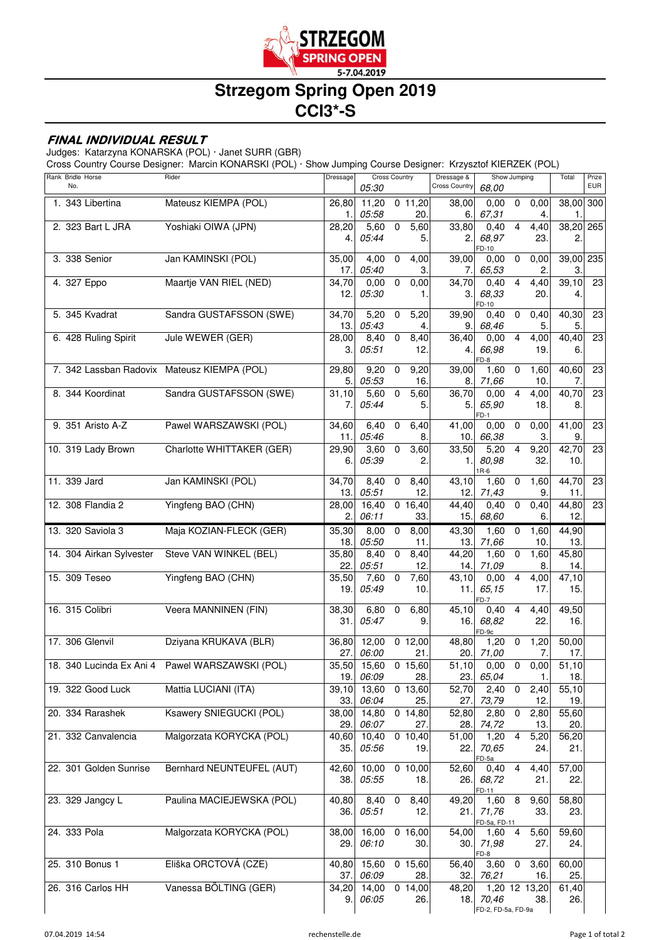

## **Strzegom Spring Open 2019 CCI3\*-S**

## **FINAL INDIVIDUAL RESULT**

Judges: Katarzyna KONARSKA (POL) · Janet SURR (GBR)

Cross Country Course Designer: Marcin KONARSKI (POL) · Show Jumping Course Designer: Krzysztof KIERZEK (POL)

| Rank Bridle Horse<br>No. | Rider                                       | Dressage     | <b>Cross Country</b><br>05:30 |                |                      | Dressage &<br><b>Cross Country</b> | 68,00                   | Show Jumping   |             | Total             | Prize<br><b>EUR</b> |
|--------------------------|---------------------------------------------|--------------|-------------------------------|----------------|----------------------|------------------------------------|-------------------------|----------------|-------------|-------------------|---------------------|
| 1. 343 Libertina         | Mateusz KIEMPA (POL)                        | 26,80<br>1.  | 11,20<br>05:58                |                | $0$ 11,20<br>20.     | 38,00<br>6.                        | 0,00<br>67,31           | $\mathbf 0$    | 0,00<br>4.  | 38,00 300<br>1.   |                     |
| 2. 323 Bart L JRA        | Yoshiaki OIWA (JPN)                         | 28,20        | 5,60                          | $\overline{0}$ | 5,60                 | 33,80                              | 0,40                    | $\overline{4}$ | 4,40        | 38,20 265         |                     |
|                          |                                             | 4.           | 05:44                         |                | 5.                   | 2.                                 | 68,97                   |                | 23.         | 2.                |                     |
| 3. 338 Senior            | Jan KAMINSKI (POL)                          | 35,00        | 4,00                          | $\mathbf 0$    | 4,00                 | 39,00                              | FD-10<br>$0,00 \quad 0$ |                | 0,00        | 39,00 235         |                     |
|                          |                                             | 17.1         | 05:40                         |                | З.                   | 7.                                 | 65,53                   |                |             | 3.                |                     |
| 4. 327 Eppo              | Maartje VAN RIEL (NED)                      | 34,70        | 0,00                          | $\mathbf 0$    | 0,00                 | 34,70                              | 0,40                    | $\overline{4}$ | 4,40        | 39,10             | $\overline{23}$     |
|                          |                                             | 12.          | 05:30                         |                | 1.                   | 3.                                 | 68,33                   |                | 20.         | 4.                |                     |
| 5. 345 Kvadrat           | Sandra GUSTAFSSON (SWE)                     | 34,70        | 5,20                          | $\mathbf 0$    | 5,20                 | 39,90                              | FD-10<br>0,40           | $\mathbf 0$    | 0,40        | 40,30             | 23                  |
|                          |                                             | 13.1         | 05:43                         |                | 4.                   | 9.                                 | 68,46                   |                | 5.          | 5.                |                     |
| 6. 428 Ruling Spirit     | Jule WEWER (GER)                            | 28,00        | 8,40                          | $\mathbf 0$    | 8,40                 | 36,40                              | 0,00                    | $\overline{4}$ | 4,00        | 40,40             | $\overline{23}$     |
|                          |                                             | 3.           | 05:51                         |                | 12.                  | 4.                                 | 66,98<br>FD-8           |                | 19.         | 6.                |                     |
|                          | 7. 342 Lassban Radovix Mateusz KIEMPA (POL) | 29,80        | 9,20                          | $\mathbf 0$    | 9,20                 | 39,00                              | 1,60                    | $\mathbf 0$    | 1,60        | 40,60             | $\overline{23}$     |
|                          |                                             |              | 5.05:53                       |                | 16.                  | 8.                                 | 71,66                   |                | 10.         | 7.                |                     |
| 8. 344 Koordinat         | Sandra GUSTAFSSON (SWE)                     | 31,10        | 5,60                          | $\mathbf 0$    | 5,60                 | 36,70                              | 0,00                    | $\overline{4}$ | 4,00        | 40,70             | 23                  |
|                          |                                             | 7.           | 05:44                         |                | 5.                   | 5.                                 | 65,90                   |                | 18.         | 8.                |                     |
| 9. 351 Aristo A-Z        | Pawel WARSZAWSKI (POL)                      | 34,60        | 6,40                          | $\overline{0}$ | 6,40                 | 41,00                              | $FD-1$<br>0,00          | $\overline{0}$ | 0,00        | 41,00             | 23                  |
|                          |                                             | 11.          | 05:46                         |                | 8.                   | 10.                                | 66,38                   |                | 3.          | 9.                |                     |
| 10. 319 Lady Brown       | Charlotte WHITTAKER (GER)                   | 29,90        | 3,60                          | $\overline{0}$ | 3,60                 | 33,50                              | 5,20                    | $\overline{4}$ | 9,20        | 42,70             | 23                  |
|                          |                                             | 6.1          | 05:39                         |                | 2.                   | 1.                                 | 80,98                   |                | 32.         | 10.               |                     |
| 11. 339 Jard             | Jan KAMINSKI (POL)                          | 34,70        | 8,40                          | $\mathbf 0$    | 8,40                 | 43,10                              | $R-6$<br>1,60           | $\mathbf 0$    | 1,60        | 44,70             | 23                  |
|                          |                                             | 13.          | 05:51                         |                | 12.                  | 12.                                | 71,43                   |                | 9.          | 11.               |                     |
| 12. 308 Flandia 2        | Yingfeng BAO (CHN)                          | 28,00        | 16,40                         |                | 0 16,40              | 44,40                              | 0,40                    | $\overline{0}$ | 0,40        | 44,80             | 23                  |
|                          |                                             | 2.           | 06:11                         |                | 33.                  | 15.                                | 68,60                   |                | 6.          | 12.               |                     |
| 13. 320 Saviola 3        | Maja KOZIAN-FLECK (GER)                     | 35,30        | 8,00                          | $\mathbf 0$    | 8,00                 | 43,30                              | 1,60                    | $\mathbf 0$    | 1,60        | 44,90             |                     |
|                          |                                             | 18.          | 05:50                         |                | 11.                  | 13.                                | 71,66                   |                | 10.         | 13.               |                     |
| 14. 304 Airkan Sylvester | Steve VAN WINKEL (BEL)                      | 35,80        | 8,40                          | $\mathbf 0$    | 8,40                 | 44,20                              | 1,60                    | $\pmb{0}$      | 1,60        | 45,80             |                     |
| 15. 309 Teseo            | Yingfeng BAO (CHN)                          | 22.<br>35,50 | 05:51<br>7,60                 | $\pmb{0}$      | 12.<br>7,60          | 14.<br>43,10                       | 71,09<br>0,00           | $\overline{4}$ | 8.<br>4,00  | 14.<br>47,10      |                     |
|                          |                                             | 19.1         | 05:49                         |                | 10.                  | 11.                                | 65,15                   |                | 17.         | 15.               |                     |
|                          |                                             |              |                               |                |                      |                                    | $FD-7$                  |                |             |                   |                     |
| 16. 315 Colibri          | Veera MANNINEN (FIN)                        | 38,30        | 6,80                          | $\overline{0}$ | 6,80                 | 45,10                              | $0,40\quad 4$           |                | 4,40        | 49,50             |                     |
|                          |                                             | 31.          | 05:47                         |                | 9.                   | 16.                                | 68,82<br>FD-9c          |                | 22.         | 16.               |                     |
| 17. 306 Glenvil          | Dziyana KRUKAVA (BLR)                       | 36,80        | 12,00                         |                | $0$ 12,00            | 48,80                              | 1,20                    | $\mathbf 0$    | 1,20        | 50,00             |                     |
|                          |                                             | 27.          | 06:00                         |                | 21.                  | 20.                                | 71,00                   |                | 7.          | 17.               |                     |
| 18. 340 Lucinda Ex Ani 4 | Pawel WARSZAWSKI (POL)                      |              | $35,50$ 15,60                 |                | 0, 15, 60            | 51,10                              | 0,00                    | $\mathbf 0$    | 0,00        | 51,10             |                     |
| 19. 322 Good Luck        | Mattia LUCIANI (ITA)                        | 19.          | 06:09                         |                | 28.<br>0 13,60       | 23.<br>52,70                       | 65,04<br>2,40           | $\mathbf 0$    | 1.<br>2,40  | 18.<br>55,10      |                     |
|                          |                                             | 39,10<br>33. | 13,60<br>06:04                |                | 25.                  | 27.                                | 73,79                   |                | 12.         | 19.               |                     |
| 20. 334 Rarashek         | Ksawery SNIEGUCKI (POL)                     | 38,00        | 14,80                         |                | 0, 14, 80            | 52,80                              | 2,80                    | $\mathbf 0$    | 2,80        | 55,60             |                     |
|                          |                                             | 29.          | 06:07                         |                | 27.                  | 28.                                | 74,72                   |                | 13.         | 20.               |                     |
| 21. 332 Canvalencia      | Malgorzata KORYCKA (POL)                    | 40,60        | 10,40                         |                | $\overline{0}$ 10,40 | 51,00                              | 1,20                    | 4              | 5,20        | 56,20             |                     |
|                          |                                             | 35.          | 05:56                         |                | 19.                  | 22.                                | 70,65                   |                | 24.         | 21.               |                     |
| 22. 301 Golden Sunrise   | Bernhard NEUNTEUFEL (AUT)                   | 42,60        | 10,00                         |                | 0,10,00              | 52,60                              | FD-5a<br>0,40           | $\overline{4}$ | 4,40        | $\frac{1}{57,00}$ |                     |
|                          |                                             | 38.          | 05:55                         |                | 18.                  | 26.                                | 68,72                   |                | 21.         | 22.               |                     |
|                          |                                             |              |                               |                |                      |                                    | FD-11                   |                |             |                   |                     |
| 23. 329 Jangcy L         | Paulina MACIEJEWSKA (POL)                   | 40,80<br>36. | 8,40<br>05:51                 | $\overline{0}$ | 8,40<br>12.          | 49,20<br>21.                       | 1,60 8<br>71,76         |                | 9,60<br>33. | 58,80<br>23.      |                     |
|                          |                                             |              |                               |                |                      |                                    | FD-5a, FD-11            |                |             |                   |                     |
| 24. 333 Pola             | Malgorzata KORYCKA (POL)                    | 38,00        | 16,00                         |                | $\overline{0}$ 16,00 | 54,00                              | 1,60                    | $\overline{4}$ | 5,60        | 59,60             |                     |
|                          |                                             | 29.          | 06:10                         |                | 30.                  | 30.                                | 71,98                   |                | 27.         | 24.               |                     |
| 25. 310 Bonus 1          | Eliška ORCTOVÁ (CZE)                        | 40,80        | 15,60                         |                | 0, 15, 60            | 56,40                              | FD-8<br>3,60            | $\mathbf 0$    | 3,60        | 60,00             |                     |
|                          |                                             | 37.          | 06:09                         |                | 28.                  | 32.                                | 76,21                   |                | 16.         | 25.               |                     |
| 26. 316 Carlos HH        | Vanessa BÖLTING (GER)                       | 34,20        | 14,00                         |                | 0, 14, 00            | 48,20                              | 1,20 12 13,20           |                |             | 61,40             |                     |
|                          |                                             | 9.           | 06:05                         |                | 26.                  | 18.                                | 70,46                   |                | 38.         | 26.               |                     |
|                          |                                             |              |                               |                |                      |                                    | FD-2, FD-5a, FD-9a      |                |             |                   |                     |